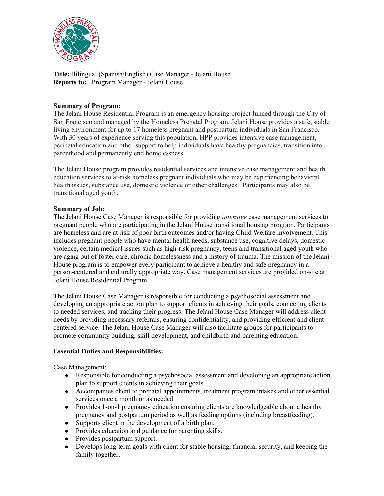

**Title:** Bilingual (Spanish/English) Case Manager - Jelani House **Reports to:** Program Manager - Jelani House

### **Summary of Program:**

The Jelani House Residential Program is an emergency housing project funded through the City of San Francisco and managed by the Homeless Prenatal Program. Jelani House provides a safe, stable living environment for up to 17 homeless pregnant and postpartum individuals in San Francisco. With 30 years of experience serving this population, HPP provides intensive case management, perinatal education and other support to help individuals have healthy pregnancies, transition into parenthood and permanently end homelessness.

The Jelani House program provides residential services and intensive case management and health education services to at-risk homeless pregnant individuals who may be experiencing behavioral health issues, substance use, domestic violence or other challenges. Participants may also be transitional aged youth.

#### **Summary of Job:**

The Jelani House Case Manager is responsible for providing *intensive* case management services to pregnant people who are participating in the Jelani House transitional housing program. Participants are homeless and are at risk of poor birth outcomes and/or having Child Welfare involvement. This includes pregnant people who have mental health needs, substance use, cognitive delays, domestic violence, certain medical issues such as high-risk pregnancy, teens and transitional aged youth who are aging out of foster care, chronic homelessness and a history of trauma. The mission of the Jelani House program is to empower every participant to achieve a healthy and safe pregnancy in a person-centered and culturally appropriate way. Case management services are provided on-site at Jelani House Residential Program.

The Jelani House Case Manager is responsible for conducting a psychosocial assessment and developing an appropriate action plan to support clients in achieving their goals, connecting clients to needed services, and tracking their progress. The Jelani House Case Manager will address client needs by providing necessary referrals, ensuring confidentiality, and providing efficient and clientcentered service. The Jelani House Case Manager will also facilitate groups for participants to promote community building, skill development, and childbirth and parenting education.

# **Essential Duties and Responsibilities:**

Case Management:

- Responsible for conducting a psychosocial assessment and developing an appropriate action plan to support clients in achieving their goals.
- Accompanies client to prenatal appointments, treatment program intakes and other essential services once a month or as needed.
- Provides 1-on-1 pregnancy education ensuring clients are knowledgeable about a healthy pregnancy and postpartum period as well as feeding options (including breastfeeding).
- Supports client in the development of a birth plan.
- Provides education and guidance for parenting skills.
- Provides postpartum support.
- Develops long-term goals with client for stable housing, financial security, and keeping the family together.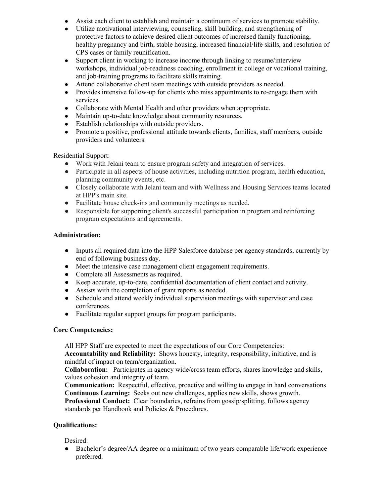- Assist each client to establish and maintain a continuum of services to promote stability.
- Utilize motivational interviewing, counseling, skill building, and strengthening of protective factors to achieve desired client outcomes of increased family functioning, healthy pregnancy and birth, stable housing, increased financial/life skills, and resolution of CPS cases or family reunification.
- Support client in working to increase income through linking to resume/interview workshops, individual job-readiness coaching, enrollment in college or vocational training, and job-training programs to facilitate skills training.
- Attend collaborative client team meetings with outside providers as needed.
- Provides intensive follow-up for clients who miss appointments to re-engage them with services.
- Collaborate with Mental Health and other providers when appropriate.
- Maintain up-to-date knowledge about community resources.
- Establish relationships with outside providers.
- Promote a positive, professional attitude towards clients, families, staff members, outside providers and volunteers.

# Residential Support:

- Work with Jelani team to ensure program safety and integration of services.
- Participate in all aspects of house activities, including nutrition program, health education, planning community events, etc.
- Closely collaborate with Jelani team and with Wellness and Housing Services teams located at HPP's main site.
- Facilitate house check-ins and community meetings as needed.
- Responsible for supporting client's successful participation in program and reinforcing program expectations and agreements.

### **Administration:**

- Inputs all required data into the HPP Salesforce database per agency standards, currently by end of following business day.
- Meet the intensive case management client engagement requirements.
- Complete all Assessments as required.
- Keep accurate, up-to-date, confidential documentation of client contact and activity.
- Assists with the completion of grant reports as needed.
- Schedule and attend weekly individual supervision meetings with supervisor and case conferences.
- Facilitate regular support groups for program participants.

#### **Core Competencies:**

All HPP Staff are expected to meet the expectations of our Core Competencies:

**Accountability and Reliability:** Shows honesty, integrity, responsibility, initiative, and is mindful of impact on team/organization.

**Collaboration:** Participates in agency wide/cross team efforts, shares knowledge and skills, values cohesion and integrity of team.

**Communication:** Respectful, effective, proactive and willing to engage in hard conversations **Continuous Learning:** Seeks out new challenges, applies new skills, shows growth.

**Professional Conduct:** Clear boundaries, refrains from gossip/splitting, follows agency standards per Handbook and Policies & Procedures.

# **Qualifications:**

# Desired:

Bachelor's degree/AA degree or a minimum of two years comparable life/work experience preferred.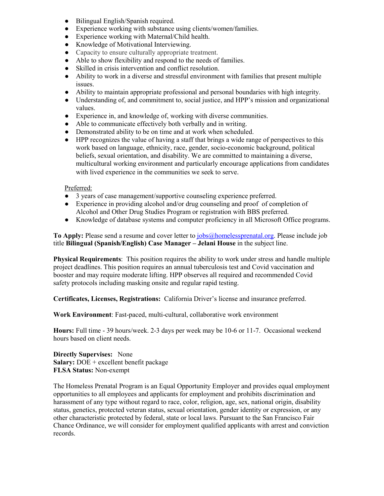- Bilingual English/Spanish required.
- Experience working with substance using clients/women/families.
- Experience working with Maternal/Child health.
- Knowledge of Motivational Interviewing.
- Capacity to ensure culturally appropriate treatment.
- Able to show flexibility and respond to the needs of families.
- Skilled in crisis intervention and conflict resolution.
- Ability to work in a diverse and stressful environment with families that present multiple issues.
- Ability to maintain appropriate professional and personal boundaries with high integrity.
- Understanding of, and commitment to, social justice, and HPP's mission and organizational values.
- Experience in, and knowledge of, working with diverse communities.
- Able to communicate effectively both verbally and in writing.
- Demonstrated ability to be on time and at work when scheduled.
- HPP recognizes the value of having a staff that brings a wide range of perspectives to this work based on language, ethnicity, race, gender, socio-economic background, political beliefs, sexual orientation, and disability. We are committed to maintaining a diverse, multicultural working environment and particularly encourage applications from candidates with lived experience in the communities we seek to serve.

### Preferred:

- 3 years of case management/supportive counseling experience preferred.
- Experience in providing alcohol and/or drug counseling and proof of completion of Alcohol and Other Drug Studies Program or registration with BBS preferred.
- Knowledge of database systems and computer proficiency in all Microsoft Office programs.

**To Apply:** Please send a resume and cover letter to [jobs@homelessprenatal.org.](mailto:jobs@homelessprenatal.org) Please include job title **Bilingual (Spanish/English) Case Manager – Jelani House** in the subject line.

**Physical Requirements**: This position requires the ability to work under stress and handle multiple project deadlines. This position requires an annual tuberculosis test and Covid vaccination and booster and may require moderate lifting. HPP observes all required and recommended Covid safety protocols including masking onsite and regular rapid testing.

**Certificates, Licenses, Registrations:** California Driver's license and insurance preferred.

**Work Environment**: Fast-paced, multi-cultural, collaborative work environment

**Hours:** Full time - 39 hours/week. 2-3 days per week may be 10-6 or 11-7. Occasional weekend hours based on client needs.

**Directly Supervises:** None **Salary:** DOE + excellent benefit package **FLSA Status:** Non-exempt

The Homeless Prenatal Program is an Equal Opportunity Employer and provides equal employment opportunities to all employees and applicants for employment and prohibits discrimination and harassment of any type without regard to race, color, religion, age, sex, national origin, disability status, genetics, protected veteran status, sexual orientation, gender identity or expression, or any other characteristic protected by federal, state or local laws. Pursuant to the San Francisco Fair Chance Ordinance, we will consider for employment qualified applicants with arrest and conviction records.